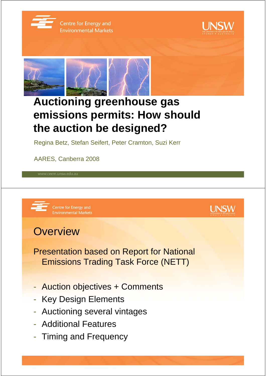

Centre for Energy and **Environmental Markets** 





# **Auctioning greenhouse gas emissions permits: How should the auction be designed?**

Regina Betz, Stefan Seifert, Peter Cramton, Suzi Kerr

AARES, Canberra 2008





## **Overview**

- Presentation based on Report for National Emissions Trading Task Force (NETT)
- Auction objectives + Comments
- Key Design Elements
- Auctioning several vintages
- Additional Features
- Timing and Frequency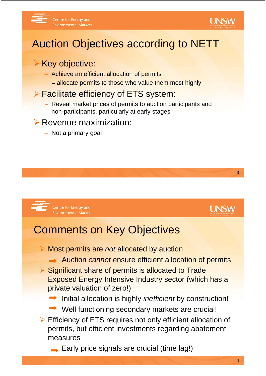



# Auction Objectives according to NETT

### **▶ Key objective:**

- Achieve an efficient allocation of permits
	- = allocate permits to those who value them most highly

### ¾ Facilitate efficiency of ETS system:

− Reveal market prices of permits to auction participants and non-participants, particularly at early stages

#### $\triangleright$  Revenue maximization:

– Not a primary goal



Centre for Energy and **Environmental Markets** 



3

# Comments on Key Objectives

- ¾ Most permits are *not* allocated by auction
	- Auction *cannot* ensure efficient allocation of permits
- ¾ Significant share of permits is allocated to Trade Exposed Energy Intensive Industry sector (which has a private valuation of zero!)
	- Initial allocation is highly *inefficient* by construction!
	- Well functioning secondary markets are crucial!
- ¾ Efficiency of ETS requires not only efficient allocation of permits, but efficient investments regarding abatement measures
	- $\rightarrow$  Early price signals are crucial (time lag!)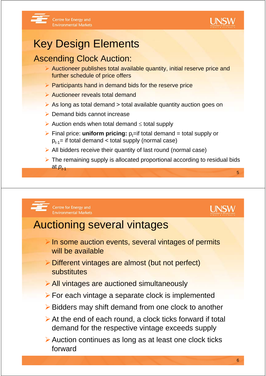

# Key Design Elements

### Ascending Clock Auction:

- $\triangleright$  Auctioneer publishes total available quantity, initial reserve price and further schedule of price offers
- $\triangleright$  Participants hand in demand bids for the reserve price
- ¾ Auctioneer reveals total demand
- $\triangleright$  As long as total demand  $>$  total available quantity auction goes on
- $\triangleright$  Demand bids cannot increase
- ¾ Auction ends when total demand ≤ total supply
- $\triangleright$  Final price: **uniform pricing:**  $p_t$ =if total demand = total supply or  $p_{t-1}$ = if total demand < total supply (normal case)
- $\triangleright$  All bidders receive their quantity of last round (normal case)
- 5  $\triangleright$  The remaining supply is allocated proportional according to residual bids at  $p_{t+1}$





## Auctioning several vintages

- $\triangleright$  In some auction events, several vintages of permits will be available
- ¾Different vintages are almost (but not perfect) substitutes
- ¾All vintages are auctioned simultaneously
- $\triangleright$  For each vintage a separate clock is implemented
- ¾Bidders may shift demand from one clock to another
- $\triangleright$  At the end of each round, a clock ticks forward if total demand for the respective vintage exceeds supply
- ¾Auction continues as long as at least one clock ticks forward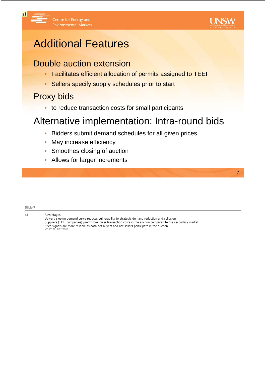

7

# Additional Features

### Double auction extension

- Facilitates efficient allocation of permits assigned to TEEI
- Sellers specify supply schedules prior to start

### Proxy bids

 $s<sub>1</sub>$ 

• to reduce transaction costs for small participants

## Alternative implementation: Intra-round bids

- Bidders submit demand schedules for all given prices
- May increase efficiency
- Smoothes closing of auction
- Allows for larger increments

**Slide 7** s1 **Advantages:** Upward sloping demand curve reduces vulnerability to strategic demand reduction and collusion Suppliers (TEEI companies) profit from lower transaction costs in the auction compared to the secondary market Price signals are more reliable as both net buyers and net sellers participate in the auction s3165179, 4/02/2008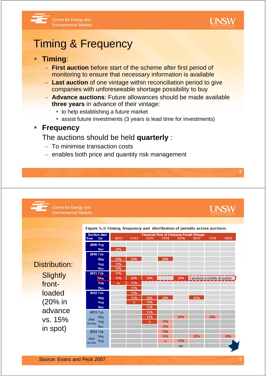



## Timing & Frequency

Centre for Energy and

**Environmental Markets** 

#### **Timing**:

- **First auction** before start of the scheme after first period of monitoring to ensure that necessary information is available
- **Last auction** of one vintage within reconciliation period to give companies with unforeseeable shortage possibility to buy
- **Advance auctions**: Future allowances should be made available **three years** in advance of their vintage:
	- $\blacksquare$  to help establishing a future market
	- assist future investments (3 years is lead time for investments)

#### **Frequency**

#### The auctions should be held **quarterly** :

– To minimise transaction costs

Centre for Energy and

– enables both price and quantity risk management

**UNSW** 

**UNSW** 

**Environmental Markets** Figure 5.3: Timing, frequency and distribution of permits across auctions **Auction date Financial Year of Emission Permit Vintage** rear<br>Year  $10/11$  $11/12$ Qtr 12/13 13/14 15/16 16/17 17/18 **2009 Aug** 20% Nov 2010 Feb May 20% 20% 20% Distribution: 15% Aug 15% Nov **2011 Feb** 15% **Slightly** 15% 20% 20%  $\frac{1}{4}$  products available at auction May 20% 15% front-Aug  $15%$ **Nov** loaded **2012 Feb** 15% May 15% 20% (20% in Aug 15% Nov 15% advance 2013 Feb 15% May 15% 20% 20% vs. 15% after Aug 15%  $S_i$ review 15%  $N_{\text{av}}$ in spot)

15% 15%

s:

15%

2014 Feb

after Aug

review

May

#### 9